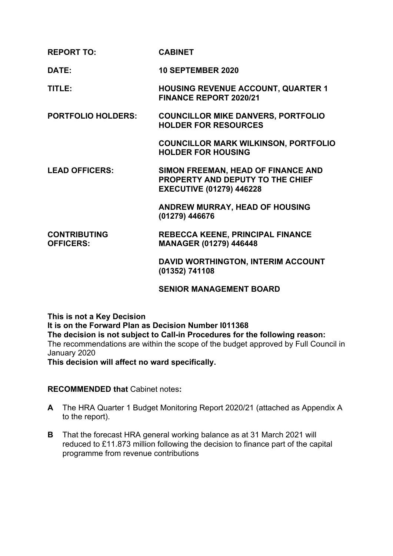| <b>REPORT TO:</b>                       | <b>CABINET</b>                                                                                            |
|-----------------------------------------|-----------------------------------------------------------------------------------------------------------|
| DATE:                                   | <b>10 SEPTEMBER 2020</b>                                                                                  |
| TITLE:                                  | <b>HOUSING REVENUE ACCOUNT, QUARTER 1</b><br><b>FINANCE REPORT 2020/21</b>                                |
| <b>PORTFOLIO HOLDERS:</b>               | <b>COUNCILLOR MIKE DANVERS, PORTFOLIO</b><br><b>HOLDER FOR RESOURCES</b>                                  |
|                                         | <b>COUNCILLOR MARK WILKINSON, PORTFOLIO</b><br><b>HOLDER FOR HOUSING</b>                                  |
| <b>LEAD OFFICERS:</b>                   | SIMON FREEMAN, HEAD OF FINANCE AND<br>PROPERTY AND DEPUTY TO THE CHIEF<br><b>EXECUTIVE (01279) 446228</b> |
|                                         | <b>ANDREW MURRAY, HEAD OF HOUSING</b><br>(01279) 446676                                                   |
| <b>CONTRIBUTING</b><br><b>OFFICERS:</b> | <b>REBECCA KEENE, PRINCIPAL FINANCE</b><br><b>MANAGER (01279) 446448</b>                                  |
|                                         | DAVID WORTHINGTON, INTERIM ACCOUNT<br>(01352) 741108                                                      |
|                                         | <b>SENIOR MANAGEMENT BOARD</b>                                                                            |

**This is not a Key Decision It is on the Forward Plan as Decision Number I011368 The decision is not subject to Call-in Procedures for the following reason:** The recommendations are within the scope of the budget approved by Full Council in January 2020 **This decision will affect no ward specifically.**

## **RECOMMENDED that** Cabinet notes**:**

- **A** The HRA Quarter 1 Budget Monitoring Report 2020/21 (attached as Appendix A to the report).
- **B** That the forecast HRA general working balance as at 31 March 2021 will reduced to £11.873 million following the decision to finance part of the capital programme from revenue contributions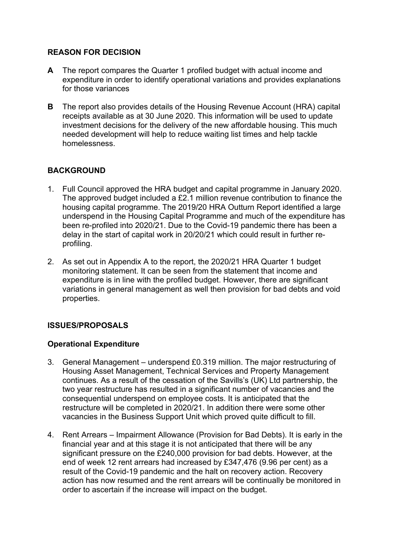# **REASON FOR DECISION**

- **A** The report compares the Quarter 1 profiled budget with actual income and expenditure in order to identify operational variations and provides explanations for those variances
- **B** The report also provides details of the Housing Revenue Account (HRA) capital receipts available as at 30 June 2020. This information will be used to update investment decisions for the delivery of the new affordable housing. This much needed development will help to reduce waiting list times and help tackle homelessness.

# **BACKGROUND**

- 1. Full Council approved the HRA budget and capital programme in January 2020. The approved budget included a £2.1 million revenue contribution to finance the housing capital programme. The 2019/20 HRA Outturn Report identified a large underspend in the Housing Capital Programme and much of the expenditure has been re-profiled into 2020/21. Due to the Covid-19 pandemic there has been a delay in the start of capital work in 20/20/21 which could result in further reprofiling.
- 2. As set out in Appendix A to the report, the 2020/21 HRA Quarter 1 budget monitoring statement. It can be seen from the statement that income and expenditure is in line with the profiled budget. However, there are significant variations in general management as well then provision for bad debts and void properties.

# **ISSUES/PROPOSALS**

# **Operational Expenditure**

- 3. General Management underspend £0.319 million. The major restructuring of Housing Asset Management, Technical Services and Property Management continues. As a result of the cessation of the Savills's (UK) Ltd partnership, the two year restructure has resulted in a significant number of vacancies and the consequential underspend on employee costs. It is anticipated that the restructure will be completed in 2020/21. In addition there were some other vacancies in the Business Support Unit which proved quite difficult to fill.
- 4. Rent Arrears Impairment Allowance (Provision for Bad Debts). It is early in the financial year and at this stage it is not anticipated that there will be any significant pressure on the £240,000 provision for bad debts. However, at the end of week 12 rent arrears had increased by £347,476 (9.96 per cent) as a result of the Covid-19 pandemic and the halt on recovery action. Recovery action has now resumed and the rent arrears will be continually be monitored in order to ascertain if the increase will impact on the budget.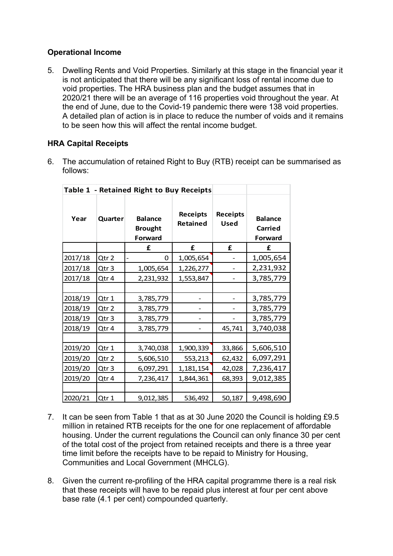# **Operational Income**

5. Dwelling Rents and Void Properties. Similarly at this stage in the financial year it is not anticipated that there will be any significant loss of rental income due to void properties. The HRA business plan and the budget assumes that in 2020/21 there will be an average of 116 properties void throughout the year. At the end of June, due to the Covid-19 pandemic there were 138 void properties. A detailed plan of action is in place to reduce the number of voids and it remains to be seen how this will affect the rental income budget.

# **HRA Capital Receipts**

6. The accumulation of retained Right to Buy (RTB) receipt can be summarised as follows:

| Table 1 - Retained Right to Buy Receipts |                  |                                             |                      |                                |                                             |
|------------------------------------------|------------------|---------------------------------------------|----------------------|--------------------------------|---------------------------------------------|
| Year                                     | Quarter          | <b>Balance</b><br><b>Brought</b><br>Forward | Receipts<br>Retained | <b>Receipts</b><br><b>Used</b> | <b>Balance</b><br><b>Carried</b><br>Forward |
|                                          |                  | £                                           | £                    | £                              | £                                           |
| 2017/18                                  | Qtr 2            | 0                                           | 1,005,654            |                                | 1,005,654                                   |
| 2017/18                                  | Qtr <sub>3</sub> | 1,005,654                                   | 1,226,277            |                                | 2,231,932                                   |
| 2017/18                                  | Qtr 4            | 2,231,932                                   | 1,553,847            |                                | 3,785,779                                   |
|                                          |                  |                                             |                      |                                |                                             |
| 2018/19                                  | Qtr 1            | 3,785,779                                   |                      |                                | 3,785,779                                   |
| 2018/19                                  | Qtr 2            | 3,785,779                                   |                      |                                | 3,785,779                                   |
| 2018/19                                  | Qtr 3            | 3,785,779                                   |                      |                                | 3,785,779                                   |
| 2018/19                                  | Qtr 4            | 3,785,779                                   |                      | 45,741                         | 3,740,038                                   |
|                                          |                  |                                             |                      |                                |                                             |
| 2019/20                                  | Qtr 1            | 3,740,038                                   | 1,900,339            | 33,866                         | 5,606,510                                   |
| 2019/20                                  | Qtr 2            | 5,606,510                                   | 553,213              | 62,432                         | 6,097,291                                   |
| 2019/20                                  | Qtr <sub>3</sub> | 6,097,291                                   | 1,181,154            | 42,028                         | 7,236,417                                   |
| 2019/20                                  | Qtr 4            | 7,236,417                                   | 1,844,361            | 68,393                         | 9,012,385                                   |
|                                          |                  |                                             |                      |                                |                                             |
| 2020/21                                  | Qtr 1            | 9,012,385                                   | 536,492              | 50,187                         | 9,498,690                                   |

- 7. It can be seen from Table 1 that as at 30 June 2020 the Council is holding £9.5 million in retained RTB receipts for the one for one replacement of affordable housing. Under the current regulations the Council can only finance 30 per cent of the total cost of the project from retained receipts and there is a three year time limit before the receipts have to be repaid to Ministry for Housing, Communities and Local Government (MHCLG).
- 8. Given the current re-profiling of the HRA capital programme there is a real risk that these receipts will have to be repaid plus interest at four per cent above base rate (4.1 per cent) compounded quarterly.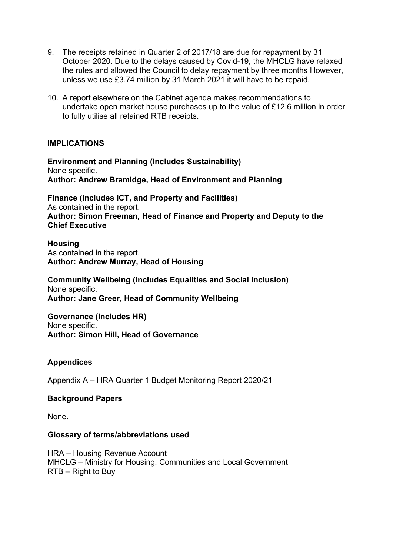- 9. The receipts retained in Quarter 2 of 2017/18 are due for repayment by 31 October 2020. Due to the delays caused by Covid-19, the MHCLG have relaxed the rules and allowed the Council to delay repayment by three months However, unless we use £3.74 million by 31 March 2021 it will have to be repaid.
- 10. A report elsewhere on the Cabinet agenda makes recommendations to undertake open market house purchases up to the value of £12.6 million in order to fully utilise all retained RTB receipts.

## **IMPLICATIONS**

**Environment and Planning (Includes Sustainability)** None specific. **Author: Andrew Bramidge, Head of Environment and Planning**

**Finance (Includes ICT, and Property and Facilities)** As contained in the report. **Author: Simon Freeman, Head of Finance and Property and Deputy to the Chief Executive**

**Housing** As contained in the report. **Author: Andrew Murray, Head of Housing**

**Community Wellbeing (Includes Equalities and Social Inclusion)** None specific. **Author: Jane Greer, Head of Community Wellbeing**

**Governance (Includes HR)** None specific. **Author: Simon Hill, Head of Governance**

#### **Appendices**

Appendix A – HRA Quarter 1 Budget Monitoring Report 2020/21

#### **Background Papers**

None.

#### **Glossary of terms/abbreviations used**

HRA – Housing Revenue Account MHCLG – Ministry for Housing, Communities and Local Government RTB – Right to Buy